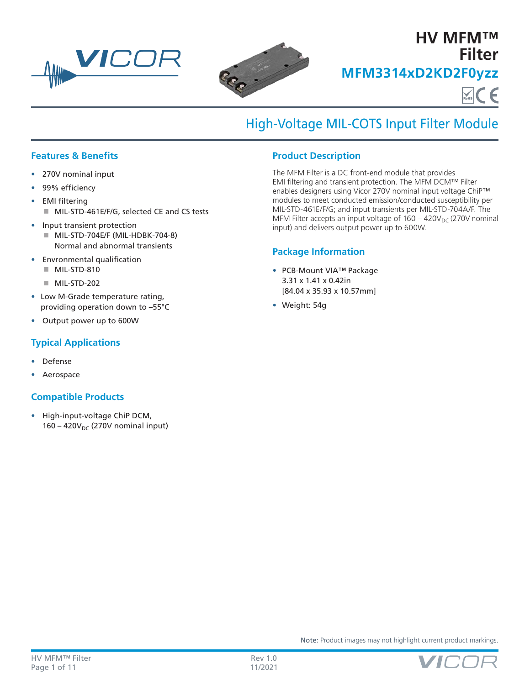



# **HV MFM™ Filter MFM3314xD2KD2F0yzz**  $\sum_{\text{ROHS}}$   $\subset$   $\in$

# High-Voltage MIL-COTS Input Filter Module

## **Features & Benefits**

- 270V nominal input
- 99% efficiency
- EMI filtering
	- MIL-STD-461E/F/G, selected CE and CS tests
- Input transient protection
	- MIL-STD-704E/F (MIL-HDBK-704-8) Normal and abnormal transients
- Envronmental qualification
	- MIL-STD-810
	- MIL-STD-202
- Low M-Grade temperature rating, providing operation down to –55°C
- Output power up to 600W

## **Typical Applications**

- Defense
- Aerospace

## **Compatible Products**

• High-input-voltage ChiP DCM,  $160 - 420V_{DC}$  (270V nominal input)

## **Product Description**

The MFM Filter is a DC front-end module that provides EMI filtering and transient protection. The MFM DCM™ Filter enables designers using Vicor 270V nominal input voltage ChiP™ modules to meet conducted emission/conducted susceptibility per MIL‑STD‑461E/F/G; and input transients per MIL‑STD‑704A/F. The MFM Filter accepts an input voltage of  $160 - 420V_{DC}$  (270V nominal input) and delivers output power up to 600W.

### **Package Information**

- PCB-Mount VIA™ Package 3.31 x 1.41 x 0.42in [84.04 x 35.93 x 10.57mm]
- Weight: 54g



Note: Product images may not highlight current product markings.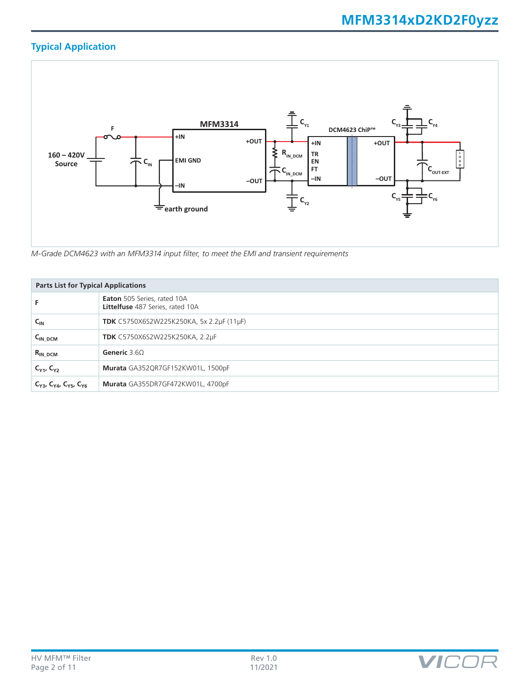## **Typical Application**



*M-Grade DCM4623 with an MFM3314 input filter, to meet the EMI and transient requirements*

|                                           | <b>Parts List for Typical Applications</b>                             |  |  |  |
|-------------------------------------------|------------------------------------------------------------------------|--|--|--|
|                                           | Eaton 505 Series, rated 10A<br><b>Littelfuse</b> 487 Series, rated 10A |  |  |  |
| $C_{\text{IN}}$                           | TDK C5750X6S2W225K250KA, 5x 2.2µF (11µF)                               |  |  |  |
| $C_{IN\_DCM}$                             | <b>TDK</b> C5750X6S2W225K250KA, 2.2µF                                  |  |  |  |
| $R_{IN\_DCM}$                             | Generic $3.60$                                                         |  |  |  |
| $C_{Y1}$ , $C_{Y2}$                       | Murata GA352QR7GF152KW01L, 1500pF                                      |  |  |  |
| $C_{Y3}$ , $C_{Y4}$ , $C_{Y5}$ , $C_{Y6}$ | Murata GA355DR7GF472KW01L, 4700pF                                      |  |  |  |

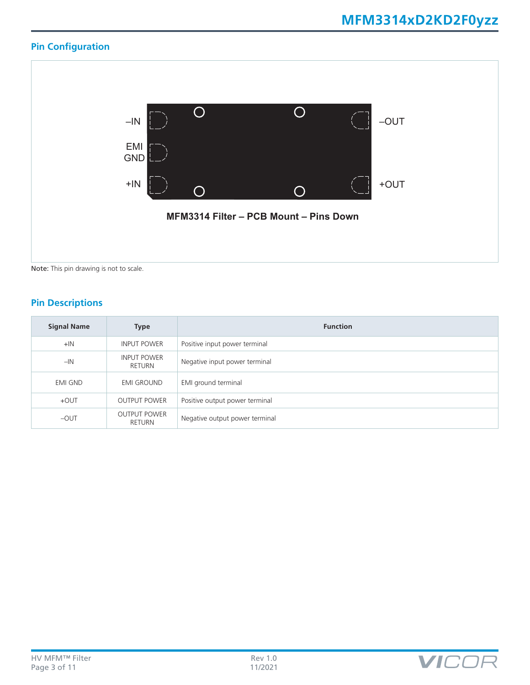## **Pin Configuration**



## **Pin Descriptions**

| <b>Signal Name</b> | <b>Type</b>                   | <b>Function</b>                |
|--------------------|-------------------------------|--------------------------------|
| $+IN$              | <b>INPUT POWER</b>            | Positive input power terminal  |
| $-IN$              | <b>INPUT POWER</b><br>RETURN  | Negative input power terminal  |
| <b>EMI GND</b>     | <b>EMI GROUND</b>             | EMI ground terminal            |
| $+$ OUT            | <b>OUTPUT POWER</b>           | Positive output power terminal |
| $-$ OUT            | <b>OUTPUT POWER</b><br>RETURN | Negative output power terminal |

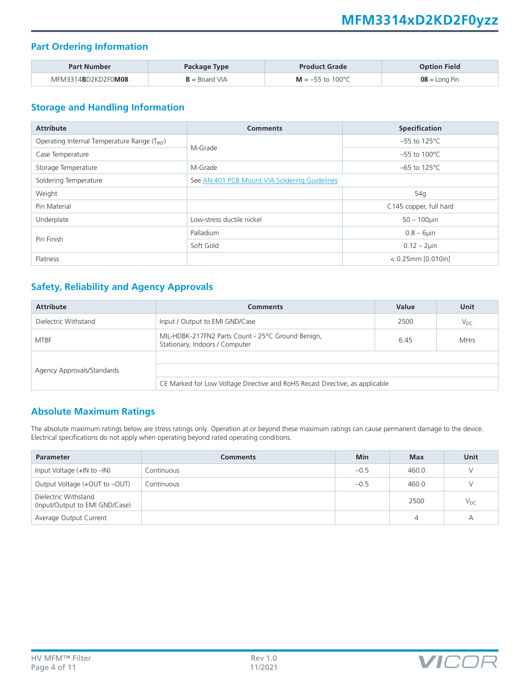## **MFM3314xD2KD2F0yzz**

## **Part Ordering Information**

| <b>Part Number</b> | Package Type            | <b>Product Grade</b> | <b>Option Field</b> |
|--------------------|-------------------------|----------------------|---------------------|
| MFM3314BD2KD2F0M08 | $\mathsf{B}=$ Board VIA | $M = -55$ to 100 °C  | $08 =$ Long Pin     |

## **Storage and Handling Information**

| <b>Attribute</b>                                         | <b>Specification</b><br><b>Comments</b>       |                           |  |
|----------------------------------------------------------|-----------------------------------------------|---------------------------|--|
| Operating Internal Temperature Range (T <sub>INT</sub> ) | M-Grade                                       | $-55$ to 125°C            |  |
| Case Temperature                                         |                                               | $-55$ to 100 $^{\circ}$ C |  |
| Storage Temperature                                      | M-Grade                                       | $-65$ to 125 $\degree$ C  |  |
| Soldering Temperature                                    | See AN:401 PCB Mount VIA Soldering Guidelines |                           |  |
| Weight                                                   |                                               | 54g                       |  |
| Pin Material                                             |                                               | C145 copper, full hard    |  |
| Underplate                                               | Low-stress ductile nickel                     | $50 - 100$ uin            |  |
| Pin Finish                                               | Palladium                                     | $0.8 - 6$ µin             |  |
|                                                          | Soft Gold                                     | $0.12 - 2 \mu$ in         |  |
| Flatness                                                 |                                               | $< 0.25$ mm $[0.010$ in]  |  |

## **Safety, Reliability and Agency Approvals**

| <b>Attribute</b>           | <b>Comments</b>                                                                     | Value | Unit        |
|----------------------------|-------------------------------------------------------------------------------------|-------|-------------|
| Dielectric Withstand       | Input / Output to EMI GND/Case                                                      | 2500  | $V_{DC}$    |
| <b>MTBF</b>                | MIL-HDBK-217FN2 Parts Count - 25°C Ground Benign,<br>Stationary, Indoors / Computer | 6.45  | <b>MHrs</b> |
| Agency Approvals/Standards | CE Marked for Low Voltage Directive and RoHS Recast Directive, as applicable        |       |             |

## **Absolute Maximum Ratings**

The absolute maximum ratings below are stress ratings only. Operation at or beyond these maximum ratings can cause permanent damage to the device. Electrical specifications do not apply when operating beyond rated operating conditions.

| <b>Parameter</b>                                       | <b>Comments</b> | <b>Min</b> | Max   | Unit     |
|--------------------------------------------------------|-----------------|------------|-------|----------|
| Input Voltage $(+$ IN to $-$ IN)                       | Continuous      | $-0.5$     | 460.0 |          |
| Output Voltage (+OUT to -OUT)                          | Continuous      | $-0.5$     | 460.0 |          |
| Dielectric Withstand<br>(Input/Output to EMI GND/Case) |                 |            | 2500  | $V_{DC}$ |
| Average Output Current                                 |                 |            | 4     | А        |

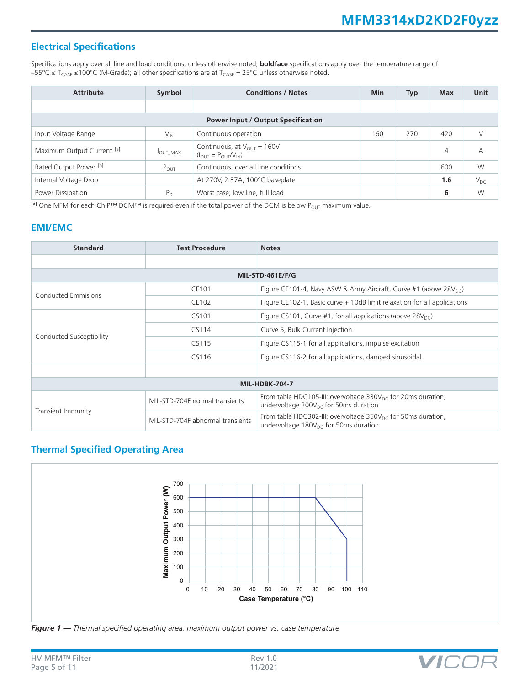## **Electrical Specifications**

Specifications apply over all line and load conditions, unless otherwise noted; **boldface** specifications apply over the temperature range of  $-55^{\circ}$ C ≤ T<sub>CASE</sub> ≤100°C (M-Grade); all other specifications are at T<sub>CASE</sub> = 25°C unless otherwise noted.

| <b>Attribute</b>           | Symbol         | <b>Conditions / Notes</b>                                                            |     | <b>Typ</b> | <b>Max</b> | <b>Unit</b> |
|----------------------------|----------------|--------------------------------------------------------------------------------------|-----|------------|------------|-------------|
|                            |                |                                                                                      |     |            |            |             |
|                            |                | <b>Power Input / Output Specification</b>                                            |     |            |            |             |
| Input Voltage Range        | $V_{IN}$       | Continuous operation                                                                 | 160 | 270        | 420        |             |
| Maximum Output Current [a] | <b>OUT MAX</b> | Continuous, at $V_{OUT} = 160V$<br>$(I_{\text{OUT}} = P_{\text{OUT}}/V_{\text{IN}})$ |     |            | 4          | А           |
| Rated Output Power [a]     | $P_{OUT}$      | Continuous, over all line conditions                                                 |     |            | 600        | W           |
| Internal Voltage Drop      |                | At 270V, 2.37A, 100°C baseplate                                                      |     |            | 1.6        | $V_{DC}$    |
| Power Dissipation          | $P_D$          | Worst case; low line, full load                                                      |     |            | 6          | W           |

[a] One MFM for each ChiP™ DCM™ is required even if the total power of the DCM is below P<sub>OUT</sub> maximum value.

### **EMI/EMC**

| <b>Standard</b>          | <b>Test Procedure</b>            | <b>Notes</b>                                                                                                                  |  |  |  |
|--------------------------|----------------------------------|-------------------------------------------------------------------------------------------------------------------------------|--|--|--|
|                          |                                  |                                                                                                                               |  |  |  |
|                          |                                  | MIL-STD-461E/F/G                                                                                                              |  |  |  |
| Conducted Emmisions      | CE101                            | Figure CE101-4, Navy ASW & Army Aircraft, Curve #1 (above $28V_{\text{DC}}$ )                                                 |  |  |  |
|                          | CE102                            | Figure CE102-1, Basic curve + 10dB limit relaxation for all applications                                                      |  |  |  |
|                          | CS101                            | Figure CS101, Curve #1, for all applications (above $28V_{\text{DC}}$ )                                                       |  |  |  |
|                          | CS114                            | Curve 5, Bulk Current Injection                                                                                               |  |  |  |
| Conducted Susceptibility | CS115                            | Figure CS115-1 for all applications, impulse excitation                                                                       |  |  |  |
|                          | CS116                            | Figure CS116-2 for all applications, damped sinusoidal                                                                        |  |  |  |
|                          |                                  |                                                                                                                               |  |  |  |
|                          | <b>MIL-HDBK-704-7</b>            |                                                                                                                               |  |  |  |
| Transient Immunity       | MIL-STD-704F normal transients   | From table HDC105-III: overvoltage $330V_{\text{DC}}$ for 20ms duration,<br>undervoltage $200V_{\text{DC}}$ for 50ms duration |  |  |  |
|                          | MIL-STD-704F abnormal transients | From table HDC302-III: overvoltage $350V_{\text{DC}}$ for 50ms duration,<br>undervoltage $180V_{\text{DC}}$ for 50ms duration |  |  |  |

## **Thermal Specified Operating Area**



*Figure 1 — Thermal specified operating area: maximum output power vs. case temperature*

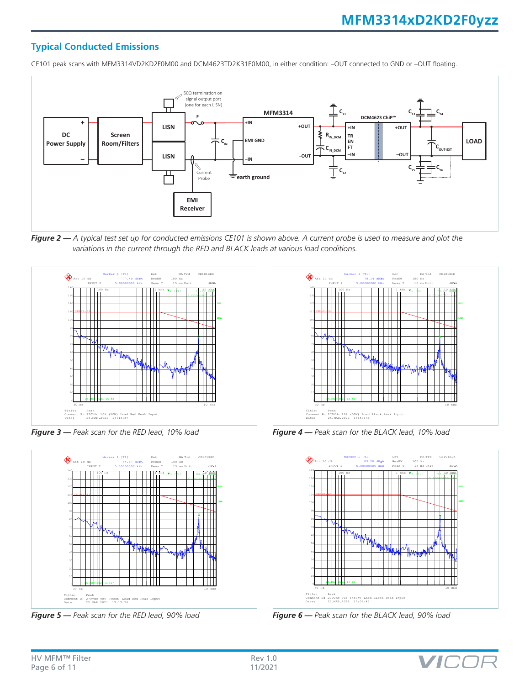## **Typical Conducted Emissions**

CE101 peak scans with MFM3314VD2KD2F0M00 and DCM4623TD2K31E0M00, in either condition: –OUT connected to GND or –OUT floating.



*Figure 2 — A typical test set up for conducted emissions CE101 is shown above. A current probe is used to measure and plot the variations in the current through the RED and BLACK leads at various load conditions.*



*Figure 3 — Peak scan for the RED lead, 10% load*



*Figure 5 — Peak scan for the RED lead, 90% load*



*Figure 4 — Peak scan for the BLACK lead, 10% load*



*Figure 6 — Peak scan for the BLACK lead, 90% load*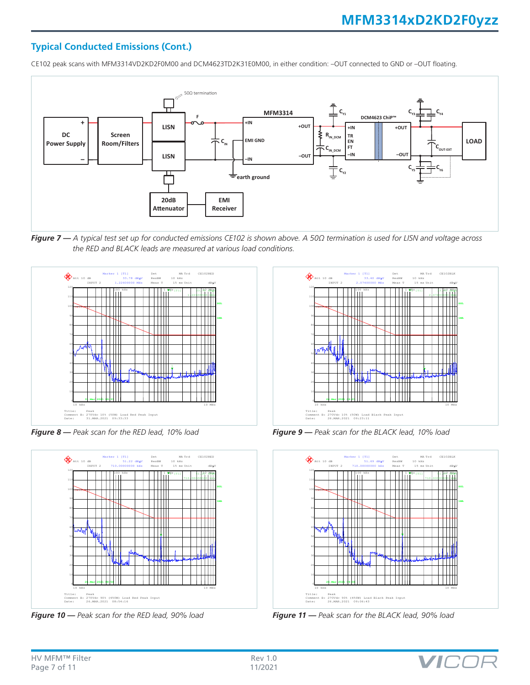### **Typical Conducted Emissions (Cont.)**

CE102 peak scans with MFM3314VD2KD2F0M00 and DCM4623TD2K31E0M00, in either condition: –OUT connected to GND or –OUT floating.



*Figure 7 — A typical test set up for conducted emissions CE102 is shown above. A 50Ω termination is used for LISN and voltage across the RED and BLACK leads are measured at various load conditions.*



*Figure 8 — Peak scan for the RED lead, 10% load*



*Figure 10 — Peak scan for the RED lead, 90% load*



*Figure 9 — Peak scan for the BLACK lead, 10% load*



*Figure 11 — Peak scan for the BLACK lead, 90% load*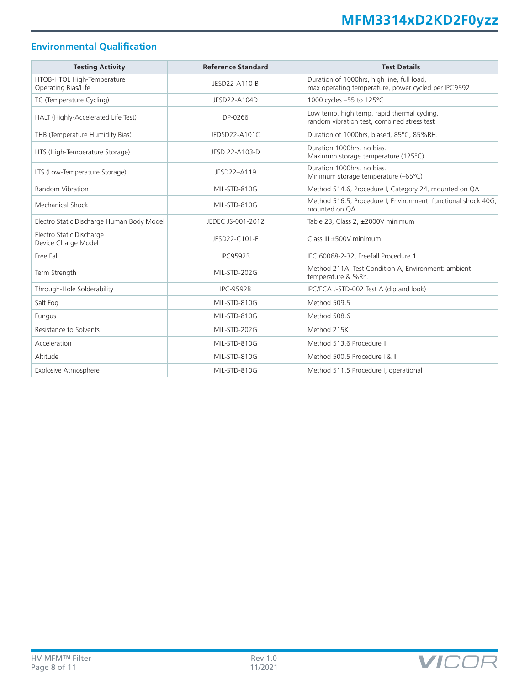## **Environmental Qualification**

| <b>Testing Activity</b>                           | <b>Reference Standard</b> | <b>Test Details</b>                                                                               |
|---------------------------------------------------|---------------------------|---------------------------------------------------------------------------------------------------|
| HTOB-HTOL High-Temperature<br>Operating Bias/Life | JESD22-A110-B             | Duration of 1000hrs, high line, full load,<br>max operating temperature, power cycled per IPC9592 |
| TC (Temperature Cycling)                          | JESD22-A104D              | 1000 cycles -55 to 125°C                                                                          |
| HALT (Highly-Accelerated Life Test)               | DP-0266                   | Low temp, high temp, rapid thermal cycling,<br>random vibration test, combined stress test        |
| THB (Temperature Humidity Bias)                   | JEDSD22-A101C             | Duration of 1000hrs, biased, 85°C, 85%RH.                                                         |
| HTS (High-Temperature Storage)                    | JESD 22-A103-D            | Duration 1000hrs, no bias.<br>Maximum storage temperature (125°C)                                 |
| LTS (Low-Temperature Storage)                     | JESD22-A119               | Duration 1000hrs, no bias.<br>Minimum storage temperature (-65°C)                                 |
| Random Vibration                                  | MIL-STD-810G              | Method 514.6, Procedure I, Category 24, mounted on QA                                             |
| Mechanical Shock                                  | MIL-STD-810G              | Method 516.5, Procedure I, Environment: functional shock 40G,<br>mounted on OA                    |
| Electro Static Discharge Human Body Model         | JEDEC JS-001-2012         | Table 2B, Class 2, ±2000V minimum                                                                 |
| Electro Static Discharge<br>Device Charge Model   | JESD22-C101-E             | Class III ±500V minimum                                                                           |
| Free Fall                                         | <b>IPC9592B</b>           | IEC 60068-2-32, Freefall Procedure 1                                                              |
| Term Strength                                     | MIL-STD-202G              | Method 211A, Test Condition A, Environment: ambient<br>temperature & %Rh.                         |
| Through-Hole Solderability                        | <b>IPC-9592B</b>          | IPC/ECA J-STD-002 Test A (dip and look)                                                           |
| Salt Fog                                          | MIL-STD-810G              | Method 509.5                                                                                      |
| Fungus                                            | MIL-STD-810G              | Method 508.6                                                                                      |
| Resistance to Solvents                            | MIL-STD-202G              | Method 215K                                                                                       |
| Acceleration                                      | MIL-STD-810G              | Method 513.6 Procedure II                                                                         |
| Altitude                                          | MIL-STD-810G              | Method 500.5 Procedure   & II                                                                     |
| <b>Explosive Atmosphere</b>                       | MIL-STD-810G              | Method 511.5 Procedure I, operational                                                             |

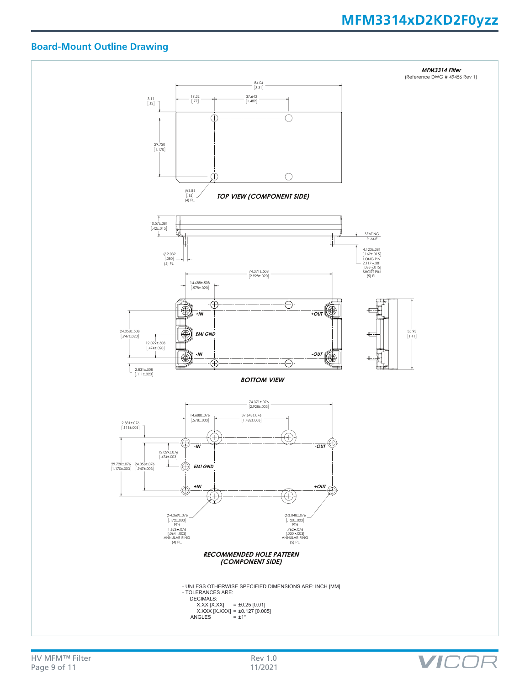## **MFM3314xD2KD2F0yzz**

VICOF

### **Board-Mount Outline Drawing**

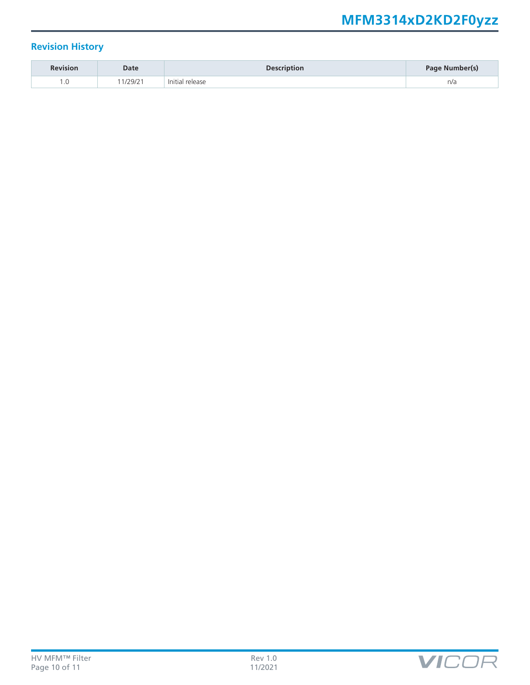# **MFM3314xD2KD2F0yzz**

## **Revision History**

| <b>Revision</b> | Date                | <b>Description</b> | Page Number(s) |
|-----------------|---------------------|--------------------|----------------|
| $\cdot$         | 129121<br>1 L J I L | release<br>In it   | n/a            |